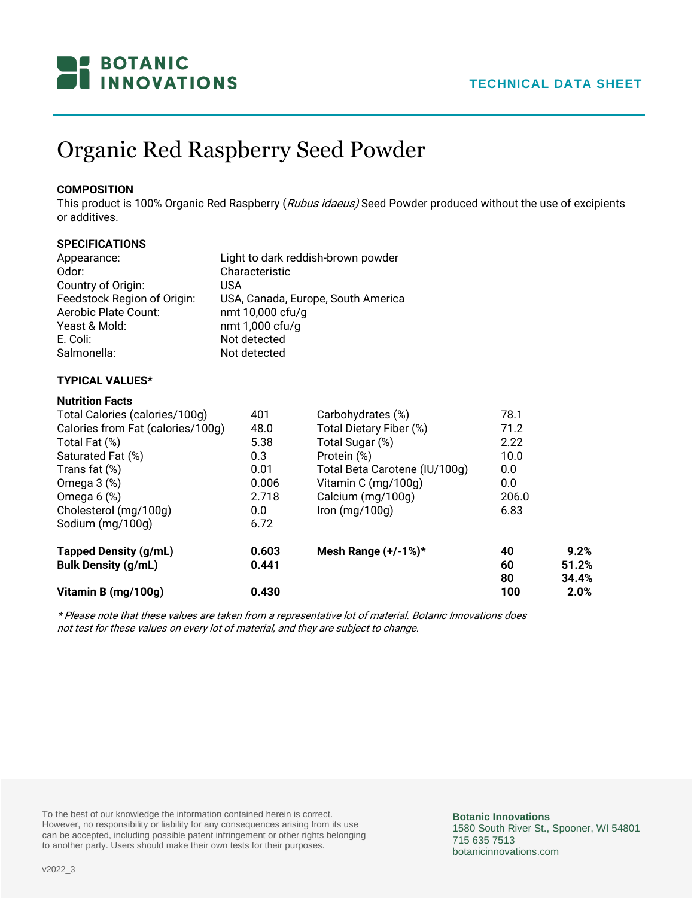

# Organic Red Raspberry Seed Powder

## **COMPOSITION**

This product is 100% Organic Red Raspberry (Rubus idaeus) Seed Powder produced without the use of excipients or additives.

# **SPECIFICATIONS**

| Appearance:                 | Light to dark reddish-brown powder |
|-----------------------------|------------------------------------|
| Odor:                       | Characteristic                     |
| Country of Origin:          | USA                                |
| Feedstock Region of Origin: | USA, Canada, Europe, South America |
| Aerobic Plate Count:        | nmt 10,000 cfu/g                   |
| Yeast & Mold:               | nmt 1,000 cfu/g                    |
| E. Coli:                    | Not detected                       |
| Salmonella:                 | Not detected                       |

## **TYPICAL VALUES\***

#### **Nutrition Facts**

| Total Calories (calories/100g)    | 401   | Carbohydrates (%)             | 78.1  |       |
|-----------------------------------|-------|-------------------------------|-------|-------|
| Calories from Fat (calories/100g) | 48.0  | Total Dietary Fiber (%)       | 71.2  |       |
| Total Fat (%)                     | 5.38  | Total Sugar (%)               | 2.22  |       |
| Saturated Fat (%)                 | 0.3   | Protein (%)                   | 10.0  |       |
| Trans fat $(\%)$                  | 0.01  | Total Beta Carotene (IU/100g) | 0.0   |       |
| Omega $3$ $%$ )                   | 0.006 | Vitamin C (mg/100g)           | 0.0   |       |
| Omega $6$ $%$ )                   | 2.718 | Calcium (mg/100g)             | 206.0 |       |
| Cholesterol (mg/100g)             | 0.0   | Iron $(mg/100g)$              | 6.83  |       |
| Sodium (mg/100g)                  | 6.72  |                               |       |       |
| <b>Tapped Density (g/mL)</b>      | 0.603 | Mesh Range $(+/-1%)$ *        | 40    | 9.2%  |
| <b>Bulk Density (g/mL)</b>        | 0.441 |                               | 60    | 51.2% |
|                                   |       |                               | 80    | 34.4% |
| Vitamin B (mg/100g)               | 0.430 |                               | 100   | 2.0%  |

\* Please note that these values are taken from a representative lot of material. Botanic Innovations does not test for these values on every lot of material, and they are subject to change.

To the best of our knowledge the information contained herein is correct. However, no responsibility or liability for any consequences arising from its use can be accepted, including possible patent infringement or other rights belonging to another party. Users should make their own tests for their purposes.

**Botanic Innovations** 1580 South River St., Spooner, WI 54801 715 635 7513 botanicinnovations.com